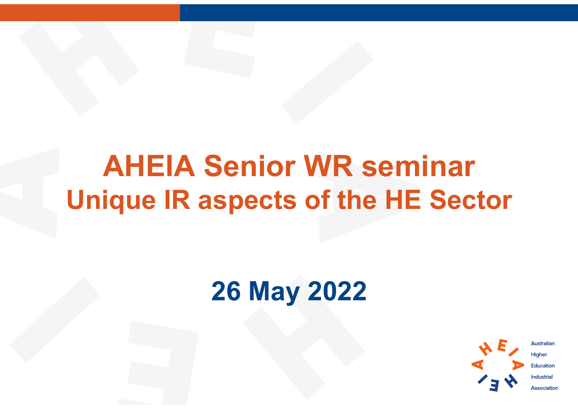## AHEIA Senior WR seminar Unique IR aspects of the HE Sector

### 26 May 2022



**Australian Higher Education Industrial Association**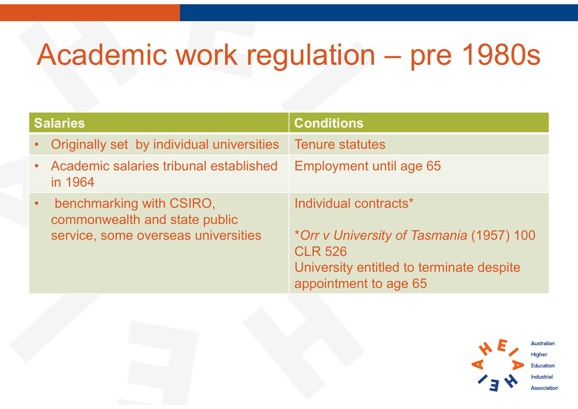# Academic work regulation – pre 1980s

| <b>Academic work regulation - pre 1980s</b>                                                                   |                                                                                                                                                          |  |  |  |
|---------------------------------------------------------------------------------------------------------------|----------------------------------------------------------------------------------------------------------------------------------------------------------|--|--|--|
| <b>Salaries</b>                                                                                               | <b>Conditions</b>                                                                                                                                        |  |  |  |
| Originally set by individual universities                                                                     | <b>Tenure statutes</b>                                                                                                                                   |  |  |  |
| Academic salaries tribunal established<br>in 1964                                                             | <b>Employment until age 65</b>                                                                                                                           |  |  |  |
| benchmarking with CSIRO,<br>$\bullet$<br>commonwealth and state public<br>service, some overseas universities | Individual contracts*<br>*Orr v University of Tasmania (1957) 100<br><b>CLR 526</b><br>University entitled to terminate despite<br>appointment to age 65 |  |  |  |
|                                                                                                               |                                                                                                                                                          |  |  |  |

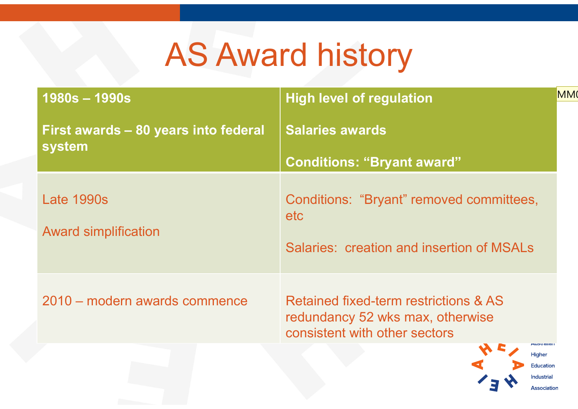# AS Award history

| <b>AS Award history</b>              |                                                                                                            |                 |  |  |
|--------------------------------------|------------------------------------------------------------------------------------------------------------|-----------------|--|--|
| $1980s - 1990s$                      | <b>High level of regulation</b>                                                                            | MM <sub>(</sub> |  |  |
| First awards - 80 years into federal | <b>Salaries awards</b>                                                                                     |                 |  |  |
| system                               | <b>Conditions: "Bryant award"</b>                                                                          |                 |  |  |
| <b>Late 1990s</b>                    | Conditions: "Bryant" removed committees,<br>etc                                                            |                 |  |  |
| <b>Award simplification</b>          | <b>Salaries: creation and insertion of MSALs</b>                                                           |                 |  |  |
| 2010 – modern awards commence        | Retained fixed-term restrictions & AS<br>redundancy 52 wks max, otherwise<br>consistent with other sectors |                 |  |  |
|                                      | <b>MUSU GIIC</b><br>Higher                                                                                 |                 |  |  |

**Industrial** Association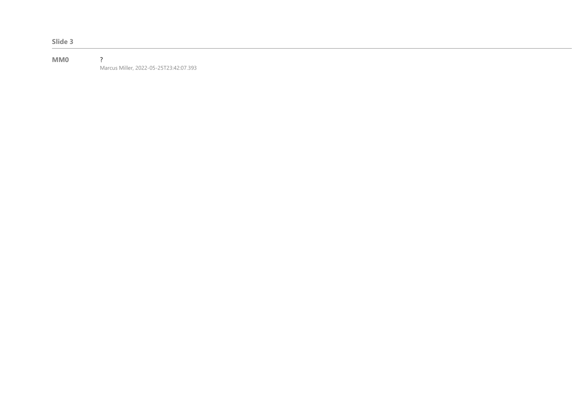Slide 3

#### MM0 ? Marcus Miller, 2022-05-25T23:42:07.393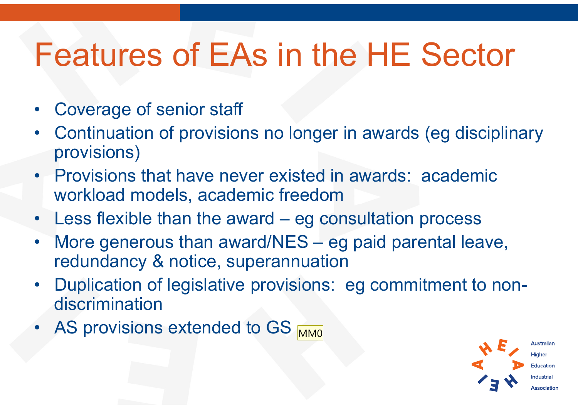# Features of EAs in the HE Sector

- 
- **Features of EAs in**<br>• Coverage of senior staff<br>• Continuation of provisions no loin • Coverage of senior staff<br>• Coverage of senior staff<br>• Continuation of provisions no longer in awards (eg disciplinary<br>• Provisions that have never existed in awards: academic provisions) • Coverage of senior staff<br>• Coverage of senior staff<br>• Continuation of provisions no longer in awards (eg disciplinary<br>• Provisions that have never existed in awards: academic<br>• Continuation models, academic freedom<br>• Les • Coverage of senior staff<br>• Continuation of provisions no longer in awards (eg disciplinary<br>• Provisions)<br>• Provisions that have never existed in awards: academic<br>• Workload models, academic freedom<br>• Less flexible than t • Coverage of senior staff<br>
• Continuation of provisions no longer in awards (eg disciplinary<br>
provisions)<br>
• Provisions that have never existed in awards: academic<br>
workload models, academic freedom<br>
• Less flexible than • Coverage of senior start<br>
• Continuation of provisions no longer in awards (eg disciplinary<br>
provisions)<br>
• Provisions that have never existed in awards: academic<br>
workload models, academic freedom<br>
• Less flexible than
- workload models, academic freedom
- 
- redundancy & notice, superannuation • Provisions)<br>• Provisions that have never existed in awards: a<br>workload models, academic freedom<br>• Less flexible than the award – eg consultation p<br>• More generous than award/NES – eg paid pare<br>redundancy & notice, super
- discrimination
- 

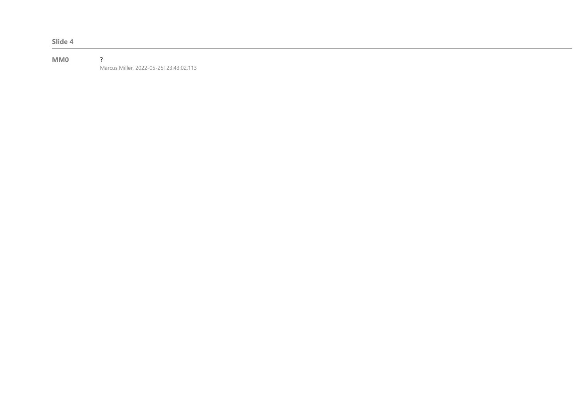Slide 4

#### MM0 ? Marcus Miller, 2022-05-25T23:43:02.113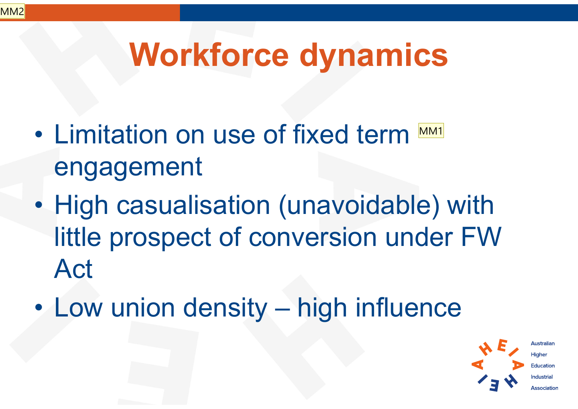# Workforce dynamics

- Workforce dynamics<br>• Limitation on use of fixed term **MMI**<br>• engagement engagement MM1
- **Workforce dynamics**<br>• Limitation on use of fixed term <u>™<br>• High casualisation (unavoidable)</u> with<br>little prospect of conversion under FW little prospect of conversion under FW Act • Limitation of the of fixed term<br>
• High casualisation (unavoidable) with<br>
little prospect of conversion under FW<br>
Act<br>
• Low union density – high influence<br>
\*\*\*
- 

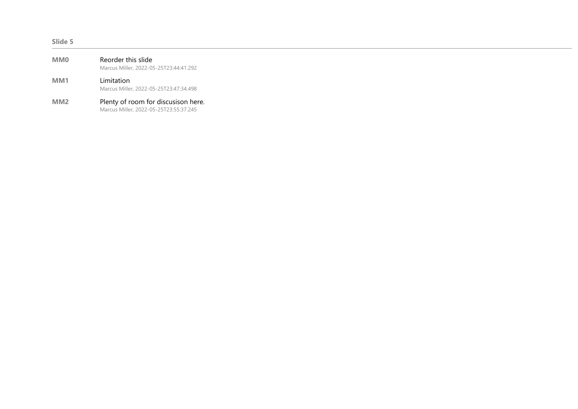#### Slide 5

| <b>MMO</b>      | Reorder this slide<br>Marcus Miller, 2022-05-25T23:44:41.292 |
|-----------------|--------------------------------------------------------------|
| MM <sub>1</sub> | Limitation<br>Marcus Miller, 2022-05-25T23:47:34.498         |
|                 | Dlanter af naama fan diaarraiaan ban                         |

MM2 Plenty of room for discusison here. Marcus Miller, 2022-05-25T23:55:37.245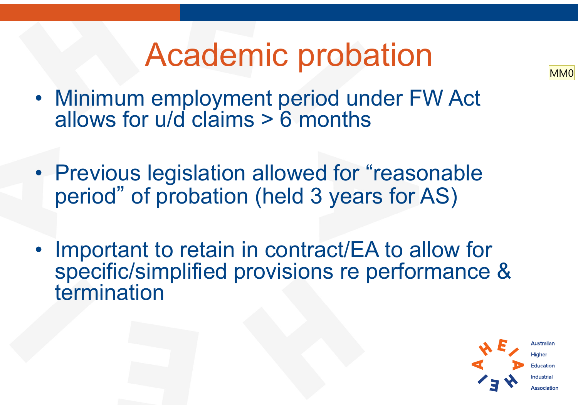# Academic probation



- Academic probation<br>• Minimum employment period under FW Act<br>allows for u/d claims > 6 months allows for u/d claims > 6 months
- Academic probation<br>• Minimum employment period under FW Act<br>allows for u/d claims > 6 months<br>• Previous legislation allowed for "reasonable<br>period" of probation (held 3 years for AS) period" of probation (held 3 years for AS)
- Minimum employment period under FW Act<br>allows for u/d claims > 6 months<br>• Previous legislation allowed for "reasonable<br>period" of probation (held 3 years for AS)<br>• Important to retain in contract/EA to allow for<br>specific specific/simplified provisions re performance & termination

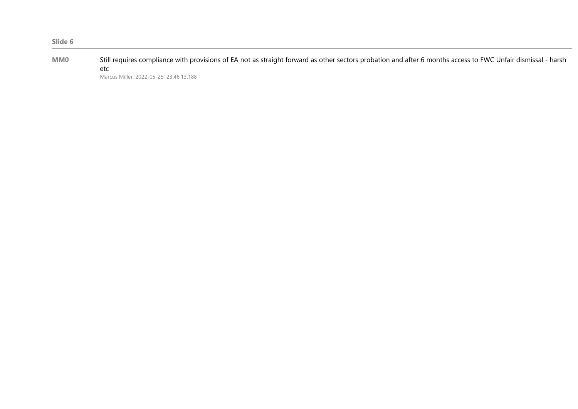| Slide 6    |                                                                                                                                                              |
|------------|--------------------------------------------------------------------------------------------------------------------------------------------------------------|
| <b>MMO</b> | Still requires compliance with provisions of EA not as straight forward as other sectors probation and after 6 months access to FWC Unfair dismissal - harsh |
|            | etc.                                                                                                                                                         |
|            | Marcus Miller, 2022-05-25T23:46:13.188                                                                                                                       |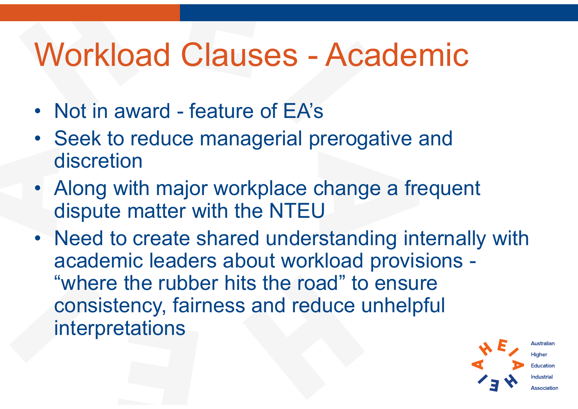# Workload Clauses - Academic Workload Clauses - Acader<br>• Not in award - feature of EA's<br>• Seek to reduce managerial prerogative a

- 
- Workload Clauses Academic<br>• Not in award feature of EA's<br>• Seek to reduce managerial prerogative and<br>• Along with major workplace shapes a frequent discretion
- Workload Clauses Academic<br>• Not in award feature of EA's<br>• Seek to reduce managerial prerogative and<br>• Along with major workplace change a frequent<br>• Along with major workplace change a frequent<br>• Need to create shared dispute matter with the NTEU
- Not in award feature of EA's<br>• Seek to reduce managerial prerogative and<br>discretion<br>• Along with major workplace change a frequent<br>dispute matter with the NTEU<br>• Need to create shared understanding internally with<br>acad academic leaders about workload provisions - "where the rubber hits the road" to ensure consistency, fairness and reduce unhelpful interpretations

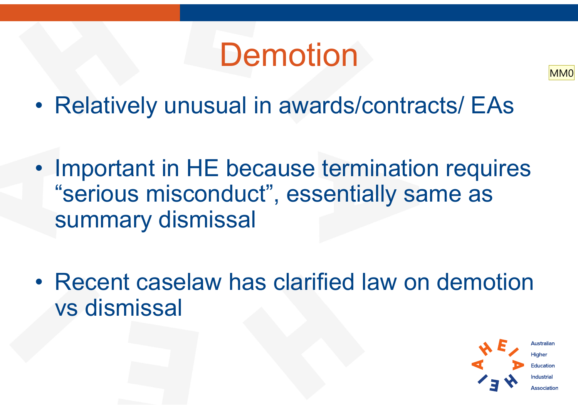# **Demotion**

- Demotion<br>• Relatively unusual in awards/contracts/ EAs
- **Demotion**<br>• Relatively unusual in awards/contracts/ EAs<br>• Important in HE because termination requires<br>"serious misconduct", essentially same as "serious misconduct", essentially same as summary dismissal • Important in HE because termination requires<br>
"serious misconduct", essentially same as<br>
summary dismissal<br>
• Recent caselaw has clarified law on demotion<br>
vs dismissal
- vs dismissal



MM0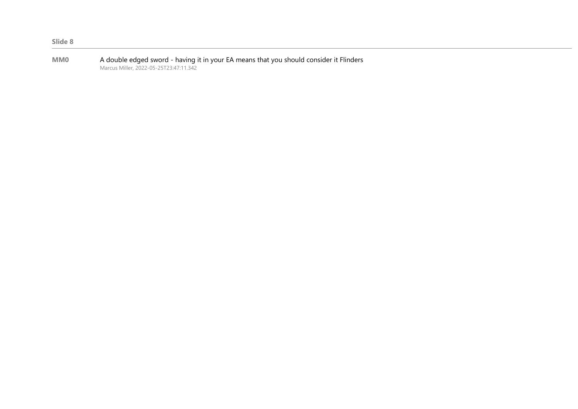| <b>MM0</b> | A double edged sword - having it in your EA means that you should consider it Flinders |
|------------|----------------------------------------------------------------------------------------|
|            | Marcus Miller, 2022-05-25T23:47:11.342                                                 |